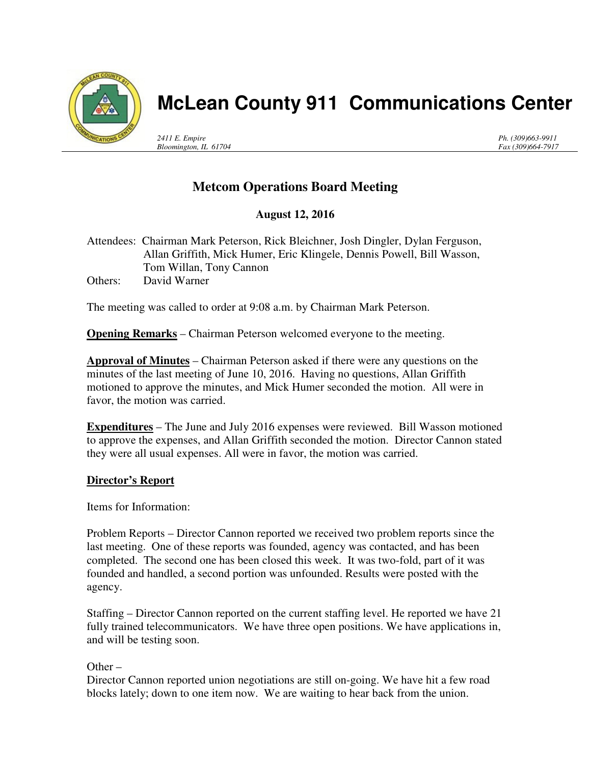

# **McLean County 911 Communications Center**

*2411 E. Empire Bloomington, IL 61704* *Ph. (309)663-9911 Fax (309)664-7917*

## **Metcom Operations Board Meeting**

### **August 12, 2016**

Attendees: Chairman Mark Peterson, Rick Bleichner, Josh Dingler, Dylan Ferguson, Allan Griffith, Mick Humer, Eric Klingele, Dennis Powell, Bill Wasson, Tom Willan, Tony Cannon Others: David Warner

The meeting was called to order at 9:08 a.m. by Chairman Mark Peterson.

**Opening Remarks** – Chairman Peterson welcomed everyone to the meeting.

**Approval of Minutes** – Chairman Peterson asked if there were any questions on the minutes of the last meeting of June 10, 2016. Having no questions, Allan Griffith motioned to approve the minutes, and Mick Humer seconded the motion. All were in favor, the motion was carried.

**Expenditures** – The June and July 2016 expenses were reviewed. Bill Wasson motioned to approve the expenses, and Allan Griffith seconded the motion. Director Cannon stated they were all usual expenses. All were in favor, the motion was carried.

#### **Director's Report**

Items for Information:

Problem Reports – Director Cannon reported we received two problem reports since the last meeting. One of these reports was founded, agency was contacted, and has been completed. The second one has been closed this week. It was two-fold, part of it was founded and handled, a second portion was unfounded. Results were posted with the agency.

Staffing – Director Cannon reported on the current staffing level. He reported we have 21 fully trained telecommunicators. We have three open positions. We have applications in, and will be testing soon.

Other  $-$ 

Director Cannon reported union negotiations are still on-going. We have hit a few road blocks lately; down to one item now. We are waiting to hear back from the union.